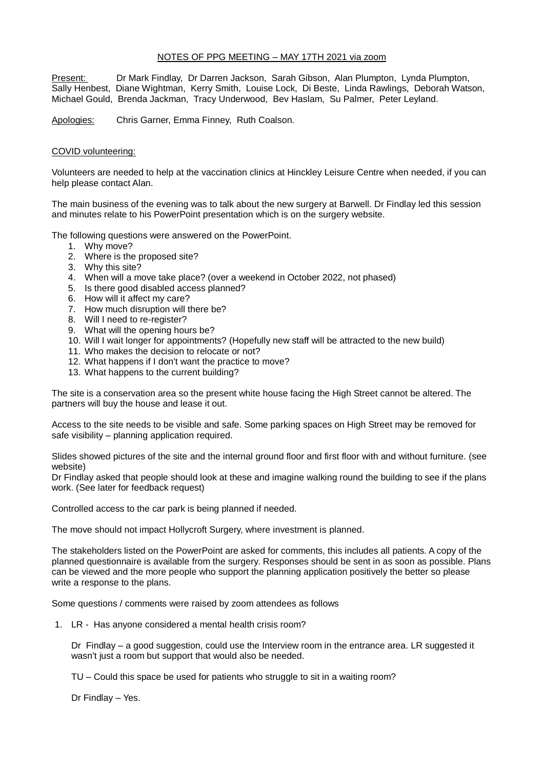#### NOTES OF PPG MEETING – MAY 17TH 2021 via zoom

Present: Dr Mark Findlay, Dr Darren Jackson, Sarah Gibson, Alan Plumpton, Lynda Plumpton, Sally Henbest, Diane Wightman, Kerry Smith, Louise Lock, Di Beste, Linda Rawlings, Deborah Watson, Michael Gould, Brenda Jackman, Tracy Underwood, Bev Haslam, Su Palmer, Peter Leyland.

Apologies: Chris Garner, Emma Finney, Ruth Coalson.

#### COVID volunteering:

Volunteers are needed to help at the vaccination clinics at Hinckley Leisure Centre when needed, if you can help please contact Alan.

The main business of the evening was to talk about the new surgery at Barwell. Dr Findlay led this session and minutes relate to his PowerPoint presentation which is on the surgery website.

The following questions were answered on the PowerPoint.

- 1. Why move?
- 2. Where is the proposed site?
- 3. Why this site?
- 4. When will a move take place? (over a weekend in October 2022, not phased)
- 5. Is there good disabled access planned?
- 6. How will it affect my care?
- 7. How much disruption will there be?
- 8. Will I need to re-register?
- 9. What will the opening hours be?
- 10. Will I wait longer for appointments? (Hopefully new staff will be attracted to the new build)
- 11. Who makes the decision to relocate or not?
- 12. What happens if I don't want the practice to move?
- 13. What happens to the current building?

The site is a conservation area so the present white house facing the High Street cannot be altered. The partners will buy the house and lease it out.

Access to the site needs to be visible and safe. Some parking spaces on High Street may be removed for safe visibility – planning application required.

Slides showed pictures of the site and the internal ground floor and first floor with and without furniture. (see website)

Dr Findlay asked that people should look at these and imagine walking round the building to see if the plans work. (See later for feedback request)

Controlled access to the car park is being planned if needed.

The move should not impact Hollycroft Surgery, where investment is planned.

The stakeholders listed on the PowerPoint are asked for comments, this includes all patients. A copy of the planned questionnaire is available from the surgery. Responses should be sent in as soon as possible. Plans can be viewed and the more people who support the planning application positively the better so please write a response to the plans.

Some questions / comments were raised by zoom attendees as follows

1. LR - Has anyone considered a mental health crisis room?

Dr Findlay – a good suggestion, could use the Interview room in the entrance area. LR suggested it wasn't just a room but support that would also be needed.

TU – Could this space be used for patients who struggle to sit in a waiting room?

Dr Findlay – Yes.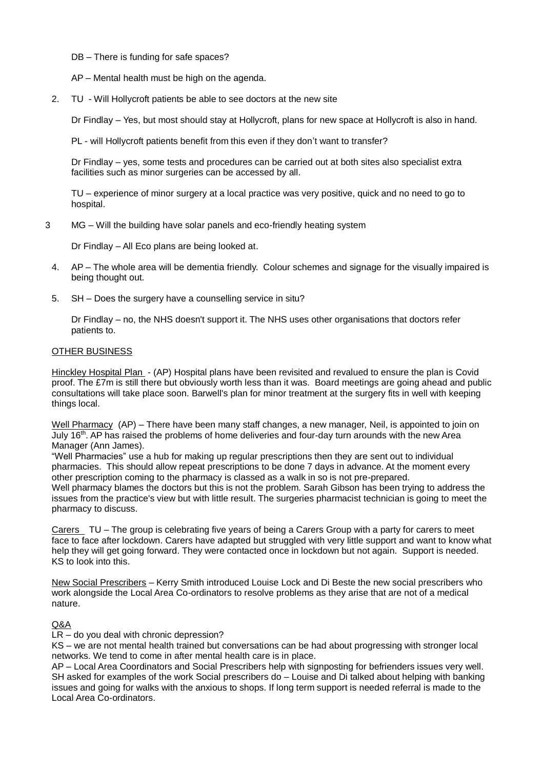### DB – There is funding for safe spaces?

AP – Mental health must be high on the agenda.

2. TU - Will Hollycroft patients be able to see doctors at the new site

Dr Findlay – Yes, but most should stay at Hollycroft, plans for new space at Hollycroft is also in hand.

PL - will Hollycroft patients benefit from this even if they don't want to transfer?

Dr Findlay – yes, some tests and procedures can be carried out at both sites also specialist extra facilities such as minor surgeries can be accessed by all.

TU – experience of minor surgery at a local practice was very positive, quick and no need to go to hospital.

3 MG – Will the building have solar panels and eco-friendly heating system

Dr Findlay – All Eco plans are being looked at.

- 4. AP The whole area will be dementia friendly. Colour schemes and signage for the visually impaired is being thought out.
- 5. SH Does the surgery have a counselling service in situ?

Dr Findlay – no, the NHS doesn't support it. The NHS uses other organisations that doctors refer patients to.

#### OTHER BUSINESS

Hinckley Hospital Plan - (AP) Hospital plans have been revisited and revalued to ensure the plan is Covid proof. The £7m is still there but obviously worth less than it was. Board meetings are going ahead and public consultations will take place soon. Barwell's plan for minor treatment at the surgery fits in well with keeping things local.

Well Pharmacy (AP) – There have been many staff changes, a new manager, Neil, is appointed to join on July 16<sup>th</sup>. AP has raised the problems of home deliveries and four-day turn arounds with the new Area Manager (Ann James).

"Well Pharmacies" use a hub for making up regular prescriptions then they are sent out to individual pharmacies. This should allow repeat prescriptions to be done 7 days in advance. At the moment every other prescription coming to the pharmacy is classed as a walk in so is not pre-prepared. Well pharmacy blames the doctors but this is not the problem. Sarah Gibson has been trying to address the issues from the practice's view but with little result. The surgeries pharmacist technician is going to meet the pharmacy to discuss.

Carers TU – The group is celebrating five years of being a Carers Group with a party for carers to meet face to face after lockdown. Carers have adapted but struggled with very little support and want to know what help they will get going forward. They were contacted once in lockdown but not again. Support is needed. KS to look into this.

New Social Prescribers – Kerry Smith introduced Louise Lock and Di Beste the new social prescribers who work alongside the Local Area Co-ordinators to resolve problems as they arise that are not of a medical nature.

# Q&A

LR – do you deal with chronic depression?

KS – we are not mental health trained but conversations can be had about progressing with stronger local networks. We tend to come in after mental health care is in place.

AP – Local Area Coordinators and Social Prescribers help with signposting for befrienders issues very well. SH asked for examples of the work Social prescribers do – Louise and Di talked about helping with banking issues and going for walks with the anxious to shops. If long term support is needed referral is made to the Local Area Co-ordinators.